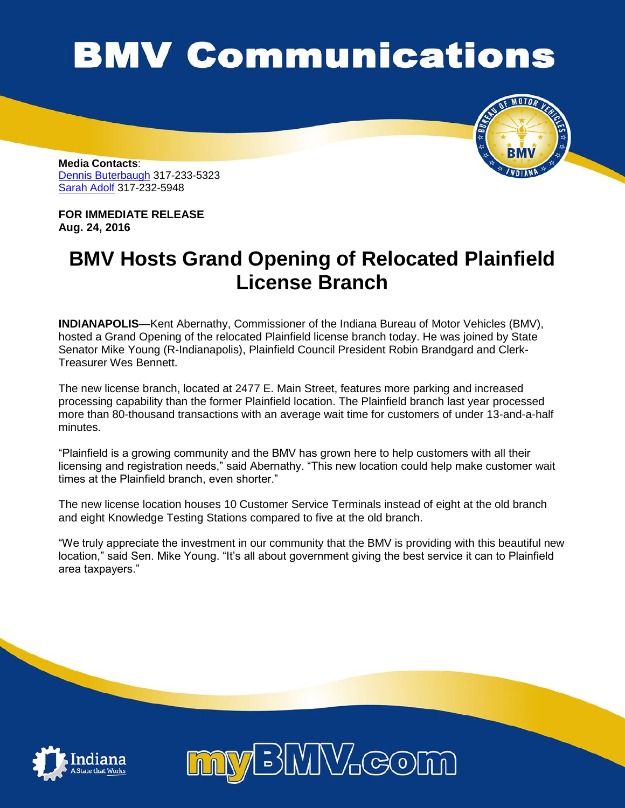## **BMV Communications**



**Media Contacts**: [Dennis Buterbaugh](mailto:dbuterbaugh@bmv.in.gov) 317-233-5323 [Sarah Adolf](mailto:saadolf@bmv.in.gov) 317-232-5948

**FOR IMMEDIATE RELEASE Aug. 24, 2016** 

## **BMV Hosts Grand Opening of Relocated Plainfield License Branch**

**INDIANAPOLIS**—Kent Abernathy, Commissioner of the Indiana Bureau of Motor Vehicles (BMV), hosted a Grand Opening of the relocated Plainfield license branch today. He was joined by State Senator Mike Young (R-Indianapolis), Plainfield Council President Robin Brandgard and Clerk-Treasurer Wes Bennett.

The new license branch, located at 2477 E. Main Street, features more parking and increased processing capability than the former Plainfield location. The Plainfield branch last year processed more than 80-thousand transactions with an average wait time for customers of under 13-and-a-half minutes.

"Plainfield is a growing community and the BMV has grown here to help customers with all their licensing and registration needs," said Abernathy. "This new location could help make customer wait times at the Plainfield branch, even shorter."

The new license location houses 10 Customer Service Terminals instead of eight at the old branch and eight Knowledge Testing Stations compared to five at the old branch.

"We truly appreciate the investment in our community that the BMV is providing with this beautiful new location," said Sen. Mike Young. "It's all about government giving the best service it can to Plainfield area taxpayers."